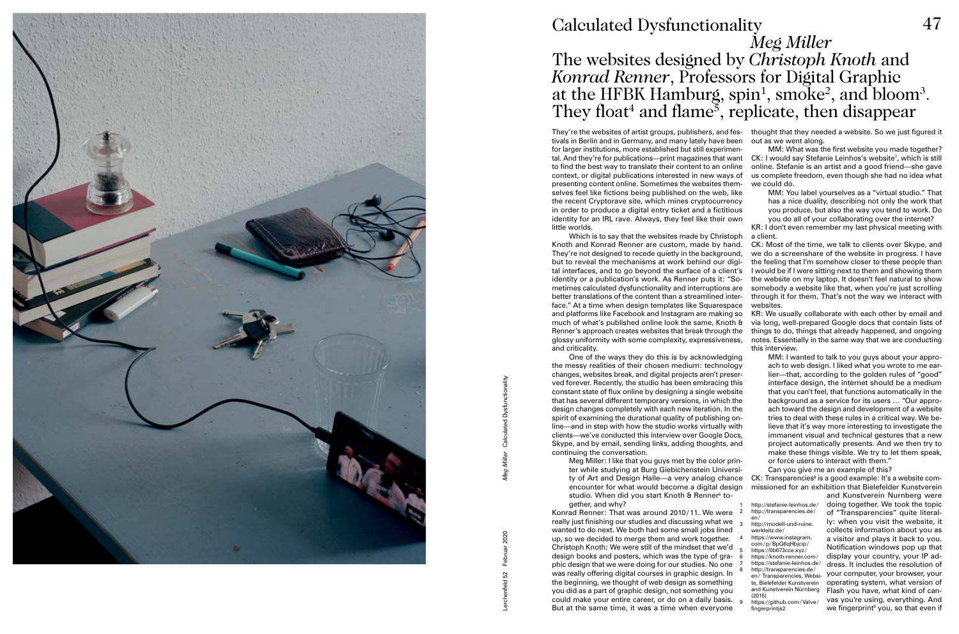Lerchenfeld 52 Februar 2020 *Meg Miller* Calculated Dysfunctionality

## *Meg Miller* The websites designed by *Christoph Knoth* and *Konrad Renner*, Professors for Digital Graphic at the HFBK Hamburg, spin<sup>1</sup>, smoke<sup>2</sup>, and bloom<sup>3</sup>.<br>They float<sup>4</sup> and flame<sup>5</sup>, replicate, then disappear



## Calculated Dysfunctionality 47

or force users to interact with them." Can you give me an example of this? CK: Transparencies<sup>8</sup> is a good example: It's a website commissioned for an exhibition that Bielefelder Kunstverein and Kunstverein Nurnberg were Meg Miller: I like that you guys met by the color printer while studying at Burg Giebichenstein University of Art and Design Halle—a very analog chance encounter for what would become a digital design studio. When did you start Knoth & Renner<sup>6</sup> together, and why? http://stefanie-leinhos.de/

doing together. We took the topic of "Transparencies" quite literally: when you visit the website, it collects information about you as a visitor and plays it back to you. Notification windows pop up that display your country, your IP address. It includes the resolution of your computer, your browser, your operating system, what version of Flash you have, what kind of canvas you're using, everything. And we fingerprint<sup>9</sup> you, so that even if

They're the websites of artist groups, publishers, and fes- thought that they needed a website. So we just figured it out as we went along. MM: What was the first website you made together? tal. And they're for publications—print magazines that want CK: I would say Stefanie Leinhos's website<sup>7</sup>, which is still online. Stefanie is an artist and a good friend—she gave us complete freedom, even though she had no idea what we could do. MM: You label yourselves as a "virtual studio." That has a nice duality, describing not only the work that you produce, but also the way you tend to work. Do you do all of your collaborating over the internet? KR: I don't even remember my last physical meeting with tivals in Berlin and in Germany, and many lately have been for larger institutions, more established but still experimento find the best way to translate their content to an online context, or digital publications interested in new ways of presenting content online. Sometimes the websites themselves feel like fictions being published on the web, like the recent Cryptorave site, which mines cryptocurrency in order to produce a digital entry ticket and a fictitious identity for an IRL rave. Always, they feel like their own little worlds.

> MM: I wanted to talk to you guys about your approach to web design. I liked what you wrote to me earlier—that, according to the golden rules of "good" interface design, the internet should be a medium that you can't feel, that functions automatically in the background as a service for its users … "Our approach toward the design and development of a website tries to deal with these rules in a critical way. We believe that it's way more interesting to investigate the immanent visual and technical gestures that a new project automatically presents. And we then try to make these things visible. We try to let them speak,

a client. CK: Most of the time, we talk to clients over Skype, and we do a screenshare of the website in progress. I have the feeling that I'm somehow closer to these people than I would be if I were sitting next to them and showing them the website on my laptop. It doesn't feel natural to show somebody a website like that, when you're just scrolling through it for them. That's not the way we interact with websites. KR: We usually collaborate with each other by email and via long, well-prepared Google docs that contain lists of things to do, things that already happened, and ongoing notes. Essentially in the same way that we are conducting this interview. Which is to say that the websites made by Christoph Knoth and Konrad Renner are custom, made by hand. They're not designed to recede quietly in the background. but to reveal the mechanisms at work behind our digital interfaces, and to go beyond the surface of a client's identity or a publication's work. As Renner puts it: "Sometimes calculated dysfunctionality and interruptions are better translations of the content than a streamlined interface." At a time when design templates like Squarespace and platforms like Facebook and Instagram are making so much of what's published online look the same, Knoth & Renner's approach creates websites that break through the glossy uniformity with some complexity, expressiveness, and criticality.

- 2 http://transparencies.de/ en/
- 3 http://modell-und-ruine. werkleitz.de/
	- https://www.instagram. com/ p/ BpG6qHbjcip/
- 5 https://0b673cce.xyz / 6 https://knoth-renner.com/
- https://stefanie-leinhos.de/
- http://transparencies.de/
- en/ Transparencies, Website, Bielefelder Kunstverein and Kunstverein Nürnberg (2015)
- https://github.com/Valve/ fingerprintis2

One of the ways they do this is by acknowledging the messy realities of their chosen medium: technology changes, websites break, and digital projects aren't preserved forever. Recently, the studio has been embracing this constant state of flux online by designing a single website that has several different temporary versions, in which the design changes completely with each new iteration. In the spirit of examining the durational quality of publishing online—and in step with how the studio works virtually with clients—we've conducted this interview over Google Docs, Skype, and by email, sending links, adding thoughts, and continuing the conversation.

Konrad Renner: That was around 2010/ 11. We were really just finishing our studies and discussing what we wanted to do next. We both had some small jobs lined up, so we decided to merge them and work together. Christoph Knoth: We were still of the mindset that we'd design books and posters, which was the type of graphic design that we were doing for our studies. No one was really offering digital courses in graphic design. In the beginning, we thought of web design as something you did as a part of graphic design, not something you could make your entire career, or do on a daily basis. But at the same time, it was a time when everyone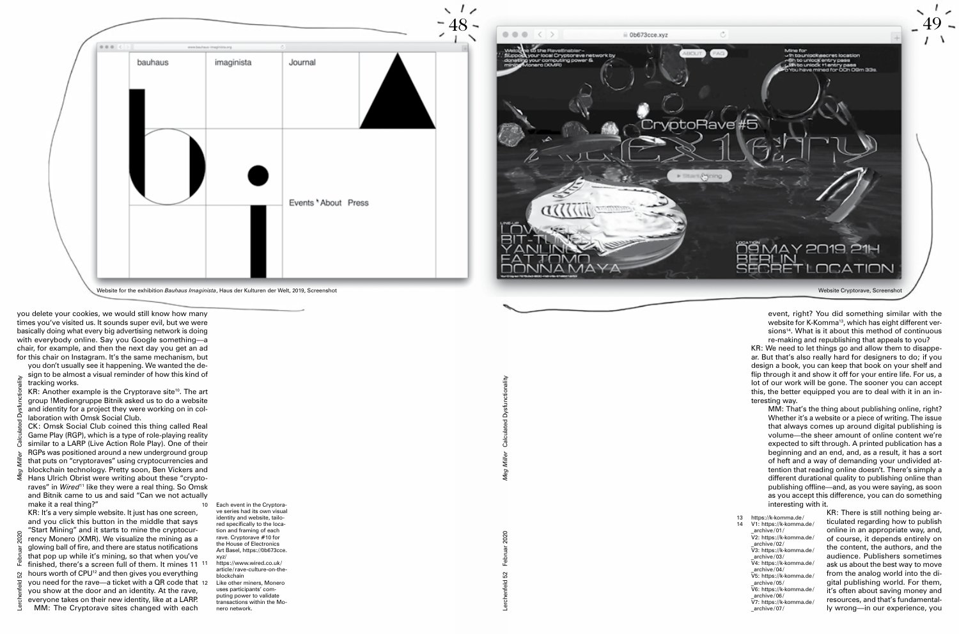*Meg Miller* Calculated Dysfunctionality

event, right? You did something similar with the website for K-Komma<sup>13</sup>, which has eight different versions<sup>14</sup>. What is it about this method of continuous re-making and republishing that appeals to you?

KR: We need to let things go and allow them to disappear. But that's also really hard for designers to do; if you design a book, you can keep that book on your shelf and flip through it and show it off for your entire life. For us, a lot of our work will be gone. The sooner you can accept this, the better equipped you are to deal with it in an interesting way.

MM: That's the thing about publishing online, right? Whether it's a website or a piece of writing. The issue that always comes up around digital publishing is volume—the sheer amount of online content we're expected to sift through. A printed publication has a beginning and an end, and, as a result, it has a sort of heft and a way of demanding your undivided attention that reading online doesn't. There's simply a different durational quality to publishing online than publishing offline—and, as you were saying, as soon as you accept this difference, you can do something interesting with it.

- 13 https://k-komma.de/<br>14 V1: https://k-komma.
	- V1: https://k-komma.de/ \_archive/ 01/ V2: https://k-komma.de/
	- \_archive/ 02/ V3: https://k-komma.de/
	- archive/ 03/ V4: https://k-komma.de/
	- \_archive/ 04/ V5: https://k-komma.de/ \_archive/ 05/
	- V6: https://k-komma.de/ archive/06/
	- V7: https://k-komma.de/ archive/ 07/

KR: Another example is the Cryptorave site<sup>10</sup>. The art group !Mediengruppe Bitnik asked us to do a website and identity for a project they were working on in collaboration with Omsk Social Club. CK: Omsk Social Club coined this thing called Real

> KR: There is still nothing being articulated regarding how to publish online in an appropriate way, and, of course, it depends entirely on the content, the authors, and the audience. Publishers sometimes ask us about the best way to move from the analog world into the digital publishing world. For them, it's often about saving money and resources, and that's fundamentally wrong—in our experience, you

KR: It's a very simple website. It just has one screen, and you click this button in the middle that says "Start Mining" and it starts to mine the cryptocurrency Monero (XMR). We visualize the mining as a glowing ball of fire, and there are status notifications that pop up while it's mining, so that when you've finished, there's a screen full of them. It mines 11 <sup>11</sup> hours worth of CPU<sup>12</sup> and then gives you everything you need for the rave—a ticket with a QR code that you show at the door and an identity. At the rave, everyone takes on their new identity, like at a LARP. MM: The Cryptorave sites changed with each

https://www.wired.co.uk/ article/ rave-culture-on-theblockchain Like other miners, Monero uses participants' computing power to validate transactions within the Monero network.

you delete your cookies, we would still know how many times you've visited us. It sounds super evil, but we were basically doing what every big advertising network is doing with everybody online. Say you Google something—a chair, for example, and then the next day you get an ad for this chair on Instagram. It's the same mechanism, but





you don't usually see it happening. We wanted the design to be almost a visual reminder of how this kind of tracking works.

Game Play (RGP), which is a type of role-playing reality similar to a LARP (Live Action Role Play). One of their RGPs was positioned around a new underground group that puts on "cryptoraves" using cryptocurrencies and blockchain technology. Pretty soon, Ben Vickers and

Hans Ulrich Obrist were writing about these "cryptoraves" in *Wired*11 like they were a real thing. So Omsk and Bitnik came to us and said "Can we not actually make it a real thing?"

10 Each event in the Cryptorave series had its own visual identity and website, tailored specifically to the location and framing of each rave. Cryptorave #10 for the House of Electronics Art Basel, https://0b673cce. xyz/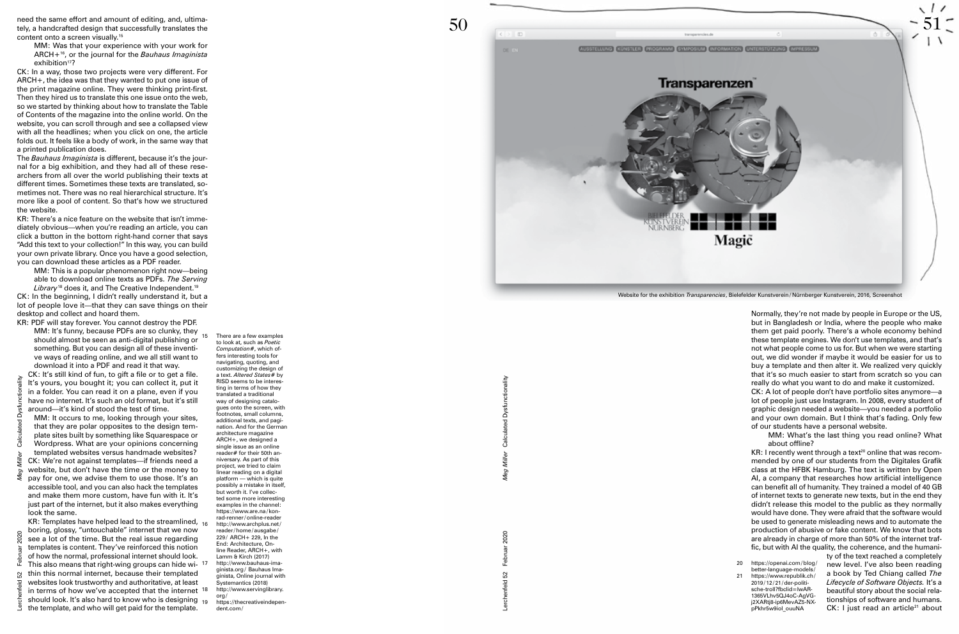Lerchenfeld 52 Februar 2020

*Meg Miller* Calculated Dysfunctionality

Meg

Lerchenfeld 52 Februar 2020  $\tilde{\mathbf{2}}$ 



Normally, they're not made by people in Europe or the US, but in Bangladesh or India, where the people who make them get paid poorly. There's a whole economy behind these template engines. We don't use templates, and that's not what people come to us for. But when we were starting out, we did wonder if maybe it would be easier for us to buy a template and then alter it. We realized very quickly that it's so much easier to start from scratch so you can really do what you want to do and make it customized.

CK: A lot of people don't have portfolio sites anymore—a lot of people just use Instagram. In 2008, every student of graphic design needed a website—you needed a portfolio and your own domain. But I think that's fading. Only few of our students have a personal website.

 $KR: I$  recently went through a text<sup>20</sup> online that was recommended by one of our students from the Digitales Grafik class at the HFBK Hamburg. The text is written by Open AI, a company that researches how artificial intelligence can benefit all of humanity. They trained a model of 40 GB of internet texts to generate new texts, but in the end they didn't release this model to the public as they normally would have done. They were afraid that the software would be used to generate misleading news and to automate the production of abusive or fake content. We know that bots are already in charge of more than 50% of the internet traf fic, but with AI the quality, the coherence, and the humani -

ty of the text reached a completely new level. I've also been reading a book by Ted Chiang called *The Lifecycle of Software Objects.* It's a beautiful story about the social rela tionships of software and humans.  $CK: I$  just read an article<sup>21</sup> about

MM: What's the last thing you read online? What about offline?

need the same effort and amount of editing, and, ultima tely, a handcrafted design that successfully translates the content onto a screen visually.<sup>15</sup>

MM: Was that your experience with your work for ARCH+16, or the journal for the *Bauhaus Imaginista* exhibition<sup>17</sup>?

MM: This is a popular phenomenon right now—being able to download online texts as PDFs. *The Serving*  Library<sup>18</sup> does it, and The Creative Independent.<sup>19</sup>

CK: In a way, those two projects were very different. For ARCH+, the idea was that they wanted to put one issue of the print magazine online. They were thinking print-first. Then they hired us to translate this one issue onto the web, so we started by thinking about how to translate the Table of Contents of the magazine into the online world. On the website, you can scroll through and see a collapsed view with all the headlines; when you click on one, the article folds out. It feels like a body of work, in the same way that a printed publication does.

KR: Templates have helped lead to the streamlined,  $_{16}$ boring, glossy, "untouchable" internet that we now see a lot of the time. But the real issue regarding templates is content. They've reinforced this notion of how the normal, professional internet should look. This also means that right-wing groups can hide wi thin this normal internet, because their templated websites look trustworthy and authoritative, at least in terms of how we've accepted that the internet  $18$ should look. It's also hard to know who is designing  $_{19}$ the template, and who will get paid for the template.

The *Bauhaus Imaginista* is different, because it's the jour nal for a big exhibition, and they had all of these rese archers from all over the world publishing their texts at different times. Sometimes these texts are translated, so metimes not. There was no real hierarchical structure. It's more like a pool of content. So that's how we structured the website.

KR: There's a nice feature on the website that isn't imme diately obvious—when you're reading an article, you can click a button in the bottom right-hand corner that says "Add this text to your collection!" In this way, you can build your own private library. Once you have a good selection, you can download these articles as a PDF reader.

> There are a few examples to look at, such as *Poetic Computation*#, which of fers interesting tools for navigating, quoting, and customizing the design of a text. *Altered States#* by RISD seems to be interes ting in terms of how they translated a traditional way of designing catalo gues onto the screen, with footnotes, small columns, additional texts, and pagi nation. And for the German architecture magazine ARCH+, we designed a single issue as an online reader# for their 50th an niversary. As part of this project, we tried to claim linear reading on a digital platform — which is quite possibly a mistake in itself, but worth it. I've collec ted some more interesting examples in the channel: https://www.are.na/konrad-renner / online-reader 16 http://www.archplus.net / reader / home / ausgabe / 229 / ARCH+ 229, In the End: Architecture, On line Reader, ARCH+, with Lamm & Kirch (2017 ) 17 http://www.bauhaus-ima ginista.org / Bauhaus Ima ginista, Online journal with Systemantics (2018 ) http://www.servinglibrary org / 19 https://thecreativeindepen -

20 https://openai.com/blog/ better-language-models / 21 https://www.republik.ch / 2019/12/21/der-politische-troll?fbclid=IwAR - 1365VLhv 5QJ 4oC-AgVG j 2XARtj 8-ip 6MevAZ 5-NX pPkhr 5 w 9iol\_ouuNA

CK: In the beginning, I didn't really understand it, but a lot of people love it—that they can save things on their desktop and collect and hoard them.

KR: PDF will stay forever. You cannot destroy the PDF. MM: It's funny, because PDFs are so clunky, they should almost be seen as anti-digital publishing or something. But you can design all of these inventi ve ways of reading online, and we all still want to download it into a PDF and read it that way.

CK: It's still kind of fun, to gift a file or to get a file. It's yours, you bought it; you can collect it, put it in a folder. You can read it on a plane, even if you have no internet. It's such an old format, but it's still around—it's kind of stood the test of time.

MM: It occurs to me, looking through your sites, that they are polar opposites to the design tem plate sites built by something like Squarespace or Wordpress. What are your opinions concerning templated websites versus handmade websites?

CK: We're not against templates—if friends need a website, but don't have the time or the money to pay for one, we advise them to use those. It's an

accessible tool, and you can also hack the templates and make them more custom, have fun with it. It's just part of the internet, but it also makes everything look the same.

dent.com /

Website for the exhibition *Transparencies*, Bielefelder Kunstverein / Nürnberger Kunstverein, 2016, Screenshot